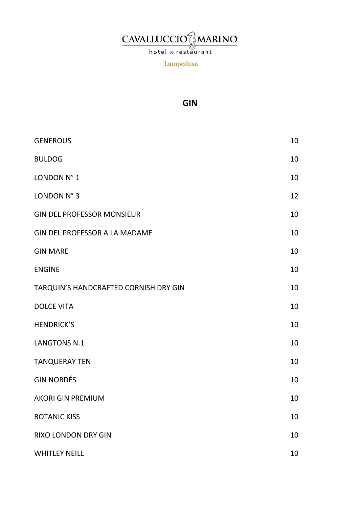# **CAVALLUCCIO**

hotel & restaurant

Lampedusa

# GIN

| <b>GENEROUS</b>                       | 10 |
|---------------------------------------|----|
| <b>BULDOG</b>                         | 10 |
| LONDON N° 1                           | 10 |
| LONDON N° 3                           | 12 |
| <b>GIN DEL PROFESSOR MONSIEUR</b>     | 10 |
| <b>GIN DEL PROFESSOR A LA MADAME</b>  | 10 |
| <b>GIN MARE</b>                       | 10 |
| <b>ENGINE</b>                         | 10 |
| TARQUIN'S HANDCRAFTED CORNISH DRY GIN | 10 |
| <b>DOLCE VITA</b>                     | 10 |
| <b>HENDRICK'S</b>                     | 10 |
| <b>LANGTONS N.1</b>                   | 10 |
| <b>TANQUERAY TEN</b>                  | 10 |
| <b>GIN NORDÉS</b>                     | 10 |
| <b>AKORI GIN PREMIUM</b>              | 10 |
| <b>BOTANIC KISS</b>                   | 10 |
| RIXO LONDON DRY GIN                   | 10 |
| <b>WHITLEY NEILL</b>                  | 10 |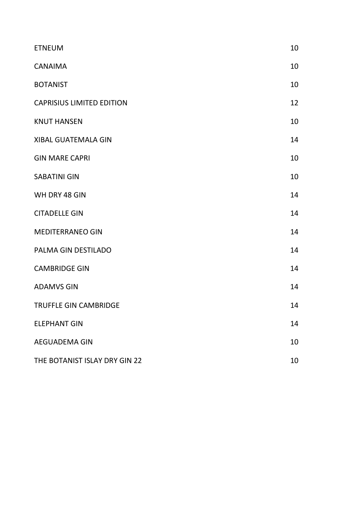| <b>ETNEUM</b>                    | 10 |
|----------------------------------|----|
| <b>CANAIMA</b>                   | 10 |
| <b>BOTANIST</b>                  | 10 |
| <b>CAPRISIUS LIMITED EDITION</b> | 12 |
| <b>KNUT HANSEN</b>               | 10 |
| <b>XIBAL GUATEMALA GIN</b>       | 14 |
| <b>GIN MARE CAPRI</b>            | 10 |
| <b>SABATINI GIN</b>              | 10 |
| WH DRY 48 GIN                    | 14 |
| <b>CITADELLE GIN</b>             | 14 |
| <b>MEDITERRANEO GIN</b>          | 14 |
| PALMA GIN DESTILADO              | 14 |
| <b>CAMBRIDGE GIN</b>             | 14 |
| <b>ADAMVS GIN</b>                | 14 |
| <b>TRUFFLE GIN CAMBRIDGE</b>     | 14 |
| <b>ELEPHANT GIN</b>              | 14 |
| <b>AEGUADEMA GIN</b>             | 10 |
| THE BOTANIST ISLAY DRY GIN 22    | 10 |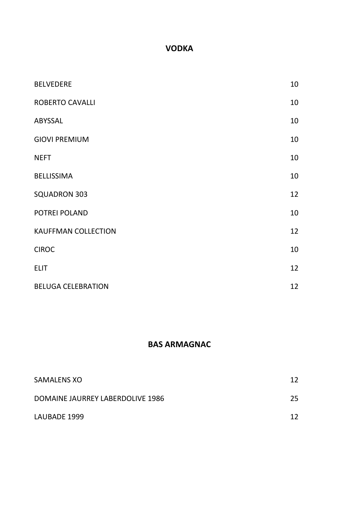#### VODKA

| <b>BELVEDERE</b>           | 10 |
|----------------------------|----|
| <b>ROBERTO CAVALLI</b>     | 10 |
| ABYSSAL                    | 10 |
| <b>GIOVI PREMIUM</b>       | 10 |
| <b>NEFT</b>                | 10 |
| <b>BELLISSIMA</b>          | 10 |
| <b>SQUADRON 303</b>        | 12 |
| POTREI POLAND              | 10 |
| <b>KAUFFMAN COLLECTION</b> | 12 |
| <b>CIROC</b>               | 10 |
| <b>ELIT</b>                | 12 |
| <b>BELUGA CELEBRATION</b>  | 12 |

#### BAS ARMAGNAC

| <b>SAMALENS XO</b>               | 12  |
|----------------------------------|-----|
| DOMAINE JAURREY LABERDOLIVE 1986 | 25. |
| LAUBADE 1999                     | 12  |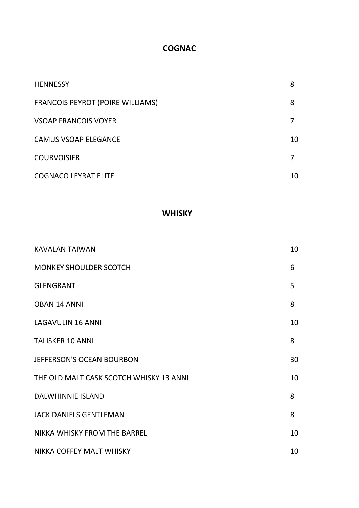#### **COGNAC**

| <b>HENNESSY</b>                         | 8  |
|-----------------------------------------|----|
| <b>FRANCOIS PEYROT (POIRE WILLIAMS)</b> | 8  |
| <b>VSOAP FRANCOIS VOYER</b>             |    |
| <b>CAMUS VSOAP ELEGANCE</b>             | 10 |
| <b>COURVOISIER</b>                      | 7  |
| <b>COGNACO LEYRAT ELITE</b>             | 10 |

# **WHISKY**

| <b>KAVALAN TAIWAN</b>                   | 10 |
|-----------------------------------------|----|
| <b>MONKEY SHOULDER SCOTCH</b>           | 6  |
| <b>GLENGRANT</b>                        | 5  |
| <b>OBAN 14 ANNI</b>                     | 8  |
| <b>LAGAVULIN 16 ANNI</b>                | 10 |
| <b>TALISKER 10 ANNI</b>                 | 8  |
| <b>JEFFERSON'S OCEAN BOURBON</b>        | 30 |
| THE OLD MALT CASK SCOTCH WHISKY 13 ANNI | 10 |
| <b>DALWHINNIE ISLAND</b>                | 8  |
| <b>JACK DANIELS GENTLEMAN</b>           | 8  |
| NIKKA WHISKY FROM THE BARREL            | 10 |
| NIKKA COFFEY MALT WHISKY                | 10 |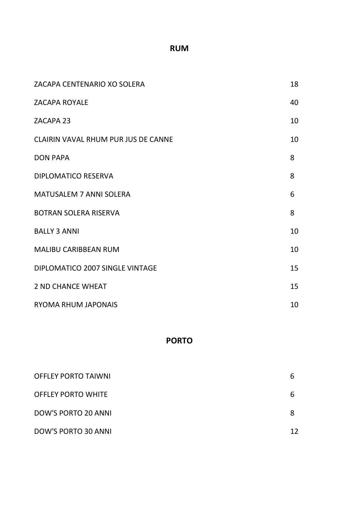#### RUM

| ZACAPA CENTENARIO XO SOLERA         | 18 |
|-------------------------------------|----|
| <b>ZACAPA ROYALE</b>                | 40 |
| ZACAPA 23                           | 10 |
| CLAIRIN VAVAL RHUM PUR JUS DE CANNE | 10 |
| <b>DON PAPA</b>                     | 8  |
| <b>DIPLOMATICO RESERVA</b>          | 8  |
| <b>MATUSALEM 7 ANNI SOLERA</b>      | 6  |
| <b>BOTRAN SOLERA RISERVA</b>        | 8  |
| <b>BALLY 3 ANNI</b>                 | 10 |
| <b>MALIBU CARIBBEAN RUM</b>         | 10 |
| DIPLOMATICO 2007 SINGLE VINTAGE     | 15 |
| <b>2 ND CHANCE WHEAT</b>            | 15 |
| <b>RYOMA RHUM JAPONAIS</b>          | 10 |

#### PORTO

| <b>OFFLEY PORTO TAIWNI</b> | b  |
|----------------------------|----|
| <b>OFFLEY PORTO WHITE</b>  | h  |
| DOW'S PORTO 20 ANNI        |    |
| DOW'S PORTO 30 ANNI        | 12 |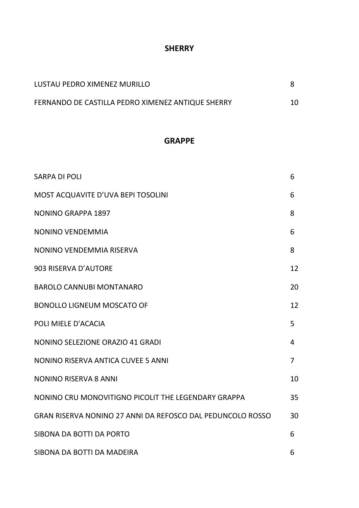#### **SHERRY**

| LUSTAU PEDRO XIMENEZ MURILLO                      |  |
|---------------------------------------------------|--|
| FERNANDO DE CASTILLA PEDRO XIMENEZ ANTIQUE SHERRY |  |

#### GRAPPE

| <b>SARPA DI POLI</b>                                       | 6              |
|------------------------------------------------------------|----------------|
| MOST ACQUAVITE D'UVA BEPI TOSOLINI                         | 6              |
| <b>NONINO GRAPPA 1897</b>                                  | 8              |
| NONINO VENDEMMIA                                           | 6              |
| NONINO VENDEMMIA RISERVA                                   | 8              |
| 903 RISERVA D'AUTORE                                       | 12             |
| <b>BAROLO CANNUBI MONTANARO</b>                            | 20             |
| <b>BONOLLO LIGNEUM MOSCATO OF</b>                          | 12             |
| POLI MIELE D'ACACIA                                        | 5              |
| NONINO SELEZIONE ORAZIO 41 GRADI                           | 4              |
| NONINO RISERVA ANTICA CUVEE 5 ANNI                         | $\overline{7}$ |
| <b>NONINO RISERVA 8 ANNI</b>                               | 10             |
| NONINO CRU MONOVITIGNO PICOLIT THE LEGENDARY GRAPPA        | 35             |
| GRAN RISERVA NONINO 27 ANNI DA REFOSCO DAL PEDUNCOLO ROSSO | 30             |
| SIBONA DA BOTTI DA PORTO                                   | 6              |
| SIBONA DA BOTTI DA MADEIRA                                 | 6              |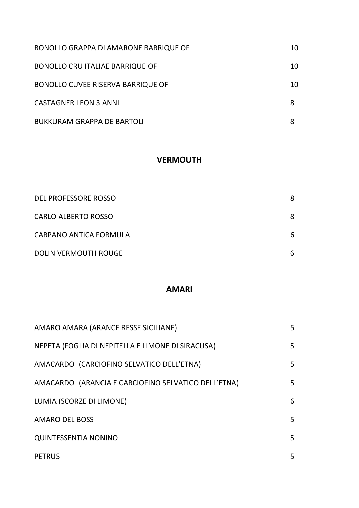| BONOLLO GRAPPA DI AMARONE BARRIQUE OF    | 10 |
|------------------------------------------|----|
| <b>BONOLLO CRU ITALIAE BARRIQUE OF</b>   | 10 |
| <b>BONOLLO CUVEE RISERVA BARRIQUE OF</b> | 10 |
| <b>CASTAGNER LEON 3 ANNI</b>             |    |
| <b>BUKKURAM GRAPPA DE BARTOLI</b>        |    |

#### **VERMOUTH**

| DEL PROFESSORE ROSSO        | 8 |
|-----------------------------|---|
| <b>CARLO ALBERTO ROSSO</b>  | 8 |
| CARPANO ANTICA FORMULA      | 6 |
| <b>DOLIN VERMOUTH ROUGE</b> | 6 |

### AMARI

| AMARO AMARA (ARANCE RESSE SICILIANE)                | 5 |
|-----------------------------------------------------|---|
| NEPETA (FOGLIA DI NEPITELLA E LIMONE DI SIRACUSA)   | 5 |
| AMACARDO (CARCIOFINO SELVATICO DELL'ETNA)           | 5 |
| AMACARDO (ARANCIA E CARCIOFINO SELVATICO DELL'ETNA) | 5 |
| LUMIA (SCORZE DI LIMONE)                            | 6 |
| <b>AMARO DEL BOSS</b>                               | 5 |
| <b>QUINTESSENTIA NONINO</b>                         | 5 |
| <b>PETRUS</b>                                       | 5 |